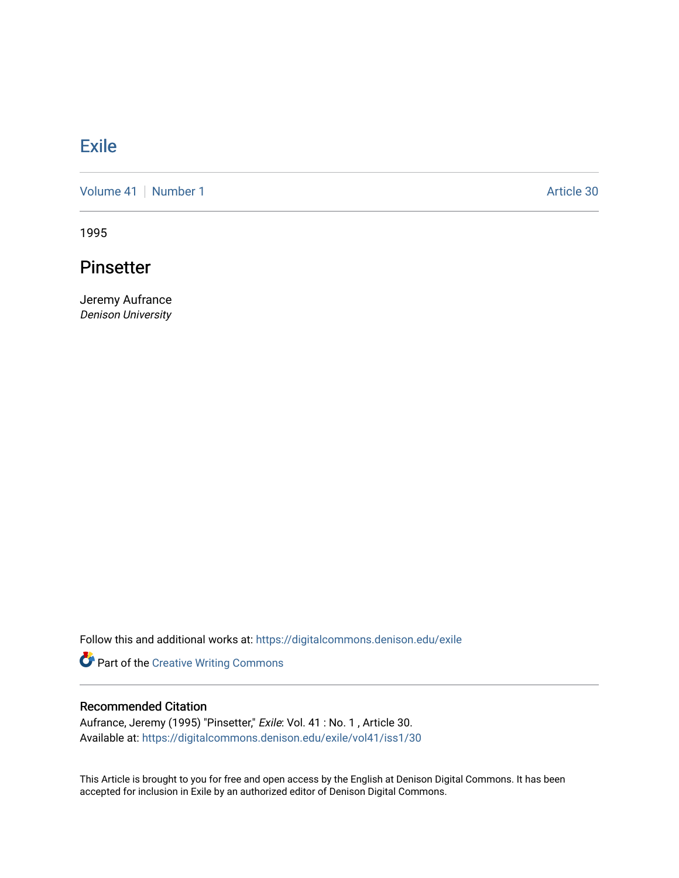## **[Exile](https://digitalcommons.denison.edu/exile)**

[Volume 41](https://digitalcommons.denison.edu/exile/vol41) | [Number 1](https://digitalcommons.denison.edu/exile/vol41/iss1) Article 30

1995

## Pinsetter

Jeremy Aufrance Denison University

Follow this and additional works at: [https://digitalcommons.denison.edu/exile](https://digitalcommons.denison.edu/exile?utm_source=digitalcommons.denison.edu%2Fexile%2Fvol41%2Fiss1%2F30&utm_medium=PDF&utm_campaign=PDFCoverPages) 

Part of the [Creative Writing Commons](http://network.bepress.com/hgg/discipline/574?utm_source=digitalcommons.denison.edu%2Fexile%2Fvol41%2Fiss1%2F30&utm_medium=PDF&utm_campaign=PDFCoverPages) 

## Recommended Citation

Aufrance, Jeremy (1995) "Pinsetter," Exile: Vol. 41 : No. 1 , Article 30. Available at: [https://digitalcommons.denison.edu/exile/vol41/iss1/30](https://digitalcommons.denison.edu/exile/vol41/iss1/30?utm_source=digitalcommons.denison.edu%2Fexile%2Fvol41%2Fiss1%2F30&utm_medium=PDF&utm_campaign=PDFCoverPages)

This Article is brought to you for free and open access by the English at Denison Digital Commons. It has been accepted for inclusion in Exile by an authorized editor of Denison Digital Commons.